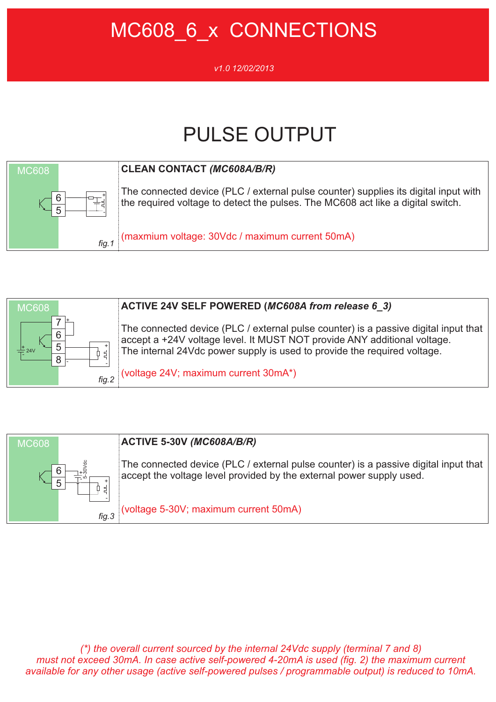## MC608 6 x CONNECTIONS

#### *v1.0 12/02/2013*

# PULSE OUTPUT



### **CLEAN CONTACT** *(MC608A/B/R)*

The connected device (PLC / external pulse counter) supplies its digital input with the required voltage to detect the pulses. The MC608 act like a digital switch.

(maxmium voltage: 30Vdc / maximum current 50mA)





### **ACTIVE 5-30V** *(MC608A/B/R)*

The connected device (PLC / external pulse counter) is a passive digital input that accept the voltage level provided by the external power supply used.

(voltage 5-30V; maximum current 50mA)

*(\*) the overall current sourced by the internal 24Vdc supply (terminal 7 and 8) must not exceed 30mA. In case active self-powered 4-20mA is used (fig. 2) the maximum current available for any other usage (active self-powered pulses / programmable output) is reduced to 10mA.*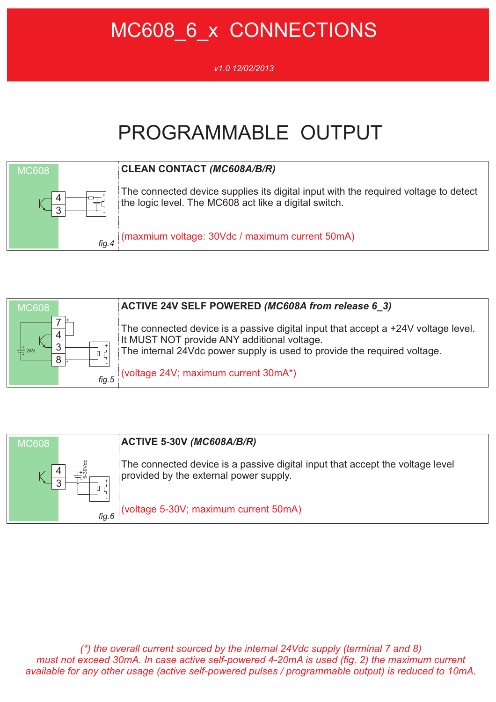# MC608 6 x CONNECTIONS

#### *v1.0 12/02/2013*

# PROGRAMMABLE OUTPUT







### **ACTIVE 5-30V** *(MC608A/B/R)*

The connected device is a passive digital input that accept the voltage level provided by the external power supply.

(voltage 5-30V; maximum current 50mA)

*(\*) the overall current sourced by the internal 24Vdc supply (terminal 7 and 8) must not exceed 30mA. In case active self-powered 4-20mA is used (fig. 2) the maximum current available for any other usage (active self-powered pulses / programmable output) is reduced to 10mA.*